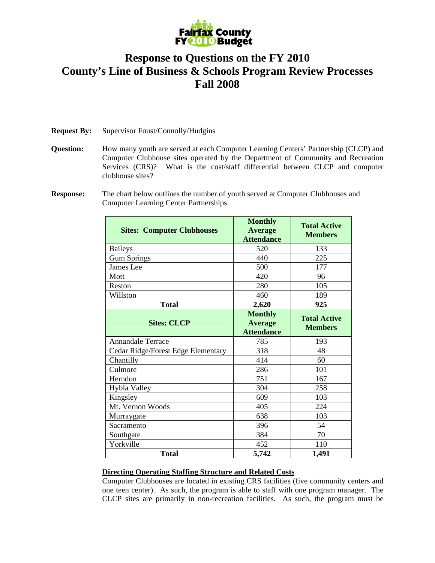

## **Response to Questions on the FY 2010 County's Line of Business & Schools Program Review Processes Fall 2008**

**Request By:** Supervisor Foust/Connolly/Hudgins

**Question:** How many youth are served at each Computer Learning Centers' Partnership (CLCP) and Computer Clubhouse sites operated by the Department of Community and Recreation Services (CRS)? What is the cost/staff differential between CLCP and computer clubhouse sites?

**Response:** The chart below outlines the number of youth served at Computer Clubhouses and Computer Learning Center Partnerships.

| <b>Sites: Computer Clubhouses</b>  | <b>Monthly</b><br><b>Average</b><br><b>Attendance</b> | <b>Total Active</b><br><b>Members</b> |
|------------------------------------|-------------------------------------------------------|---------------------------------------|
| <b>Baileys</b>                     | 520                                                   | 133                                   |
| <b>Gum Springs</b>                 | 440                                                   | 225                                   |
| James Lee                          | 500                                                   | 177                                   |
| Mott                               | 420                                                   | 96                                    |
| Reston                             | 280                                                   | 105                                   |
| Willston                           | 460                                                   | 189                                   |
| <b>Total</b>                       | 2,620                                                 | 925                                   |
| <b>Sites: CLCP</b>                 | <b>Monthly</b><br><b>Average</b><br><b>Attendance</b> | <b>Total Active</b><br><b>Members</b> |
| <b>Annandale Terrace</b>           | 785                                                   | 193                                   |
| Cedar Ridge/Forest Edge Elementary | 318                                                   | 48                                    |
| Chantilly                          | 414                                                   | 60                                    |
| Culmore                            | 286                                                   | 101                                   |
| Herndon                            | 751                                                   | 167                                   |
| Hybla Valley                       | 304                                                   | 258                                   |
| Kingsley                           | 609                                                   | 103                                   |
| Mt. Vernon Woods                   | 405                                                   | 224                                   |
| Murraygate                         | 638                                                   | 103                                   |
| Sacramento                         | 396                                                   | 54                                    |
| Southgate                          | 384                                                   | 70                                    |
| Yorkville                          | 452                                                   | 110                                   |
| <b>Total</b>                       | 5,742                                                 | 1,491                                 |

## **Directing Operating Staffing Structure and Related Costs**

Computer Clubhouses are located in existing CRS facilities (five community centers and one teen center). As such, the program is able to staff with one program manager. The CLCP sites are primarily in non-recreation facilities. As such, the program must be